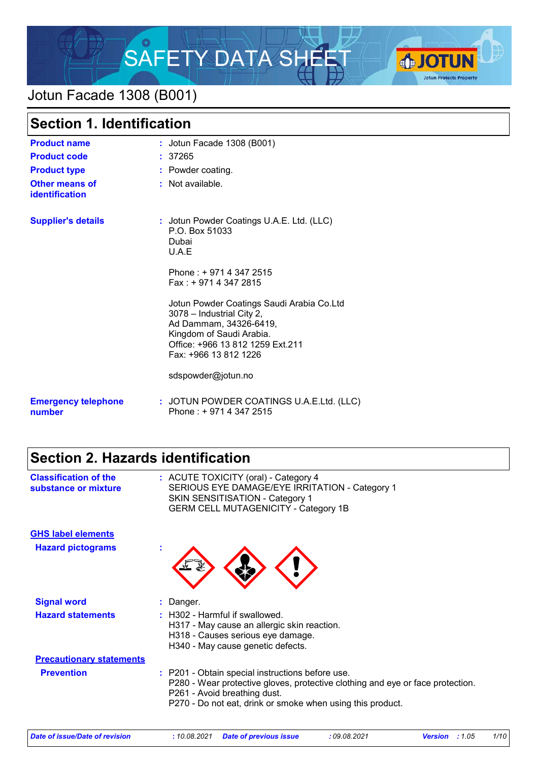

## Jotun Facade 1308 (B001)

| <b>Section 1. Identification</b>        |                                                                                                                                                                                           |
|-----------------------------------------|-------------------------------------------------------------------------------------------------------------------------------------------------------------------------------------------|
| <b>Product name</b>                     | : Jotun Facade 1308 (B001)                                                                                                                                                                |
| <b>Product code</b>                     | : 37265                                                                                                                                                                                   |
| <b>Product type</b>                     | : Powder coating.                                                                                                                                                                         |
| <b>Other means of</b><br>identification | $:$ Not available.                                                                                                                                                                        |
| <b>Supplier's details</b>               | : Jotun Powder Coatings U.A.E. Ltd. (LLC)<br>P.O. Box 51033<br>Dubai<br>U.A.E                                                                                                             |
|                                         | Phone: +9714 347 2515<br>$Fax: + 97143472815$                                                                                                                                             |
|                                         | Jotun Powder Coatings Saudi Arabia Co.Ltd<br>3078 - Industrial City 2,<br>Ad Dammam, 34326-6419,<br>Kingdom of Saudi Arabia.<br>Office: +966 13 812 1259 Ext.211<br>Fax: +966 13 812 1226 |
|                                         | sdspowder@jotun.no                                                                                                                                                                        |
| <b>Emergency telephone</b><br>number    | : JOTUN POWDER COATINGS U.A.E.Ltd. (LLC)<br>Phone: +9714 347 2515                                                                                                                         |

# **Section 2. Hazards identification**

| <b>Classification of the</b><br>substance or mixture | : ACUTE TOXICITY (oral) - Category 4<br>SERIOUS EYE DAMAGE/EYE IRRITATION - Category 1<br><b>SKIN SENSITISATION - Category 1</b><br><b>GERM CELL MUTAGENICITY - Category 1B</b>                                                  |
|------------------------------------------------------|----------------------------------------------------------------------------------------------------------------------------------------------------------------------------------------------------------------------------------|
| <b>GHS label elements</b>                            |                                                                                                                                                                                                                                  |
| <b>Hazard pictograms</b>                             |                                                                                                                                                                                                                                  |
| <b>Signal word</b>                                   | : Danger.                                                                                                                                                                                                                        |
| <b>Hazard statements</b>                             | : H302 - Harmful if swallowed.                                                                                                                                                                                                   |
|                                                      | H317 - May cause an allergic skin reaction.<br>H318 - Causes serious eye damage.                                                                                                                                                 |
|                                                      | H340 - May cause genetic defects.                                                                                                                                                                                                |
| <b>Precautionary statements</b>                      |                                                                                                                                                                                                                                  |
| <b>Prevention</b>                                    | : P201 - Obtain special instructions before use.<br>P280 - Wear protective gloves, protective clothing and eye or face protection.<br>P261 - Avoid breathing dust.<br>P270 - Do not eat, drink or smoke when using this product. |

|  | Date of issue/Date of revision |
|--|--------------------------------|
|  |                                |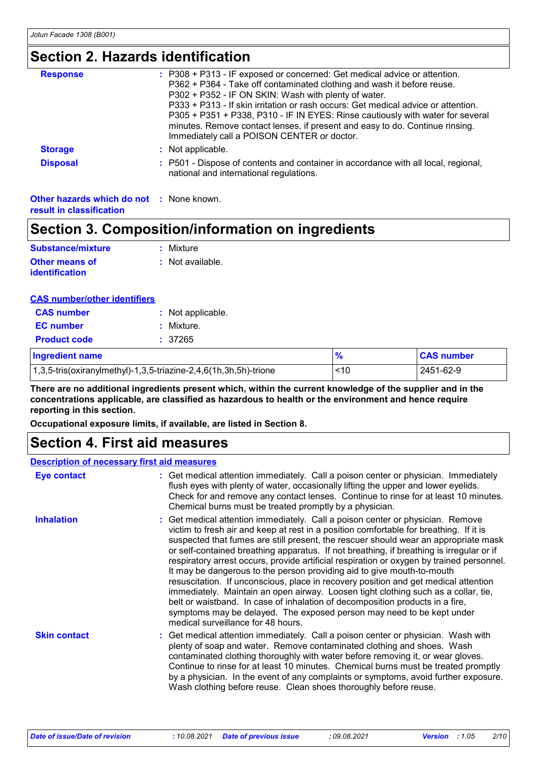### **Section 2. Hazards identification**

| : P308 + P313 - IF exposed or concerned: Get medical advice or attention.<br>P362 + P364 - Take off contaminated clothing and wash it before reuse.<br>P302 + P352 - IF ON SKIN: Wash with plenty of water.<br>P333 + P313 - If skin irritation or rash occurs: Get medical advice or attention.<br>P305 + P351 + P338, P310 - IF IN EYES: Rinse cautiously with water for several<br>minutes. Remove contact lenses, if present and easy to do. Continue rinsing.<br>Immediately call a POISON CENTER or doctor. |
|-------------------------------------------------------------------------------------------------------------------------------------------------------------------------------------------------------------------------------------------------------------------------------------------------------------------------------------------------------------------------------------------------------------------------------------------------------------------------------------------------------------------|
| : Not applicable.                                                                                                                                                                                                                                                                                                                                                                                                                                                                                                 |
| : P501 - Dispose of contents and container in accordance with all local, regional,<br>national and international regulations.                                                                                                                                                                                                                                                                                                                                                                                     |
|                                                                                                                                                                                                                                                                                                                                                                                                                                                                                                                   |

#### **Other hazards which do not :** None known. **result in classification**

### **Section 3. Composition/information on ingredients**

| Substance/mixture                              | : Mixture        |
|------------------------------------------------|------------------|
| <b>Other means of</b><br><b>identification</b> | : Not available. |

| <b>CAS number/other identifiers</b>                                                |                   |               |                   |
|------------------------------------------------------------------------------------|-------------------|---------------|-------------------|
| <b>CAS number</b>                                                                  | : Not applicable. |               |                   |
| <b>EC</b> number                                                                   | Mixture.          |               |                   |
| <b>Product code</b>                                                                | : 37265           |               |                   |
| Ingredient name                                                                    |                   | $\frac{9}{6}$ | <b>CAS number</b> |
| $(1,3,5\text{-}tris(oxiranylmethyl)-1,3,5\text{-}triazine-2,4,6(1h,3h,5h)-trione)$ |                   | ~10           | 2451-62-9         |

**There are no additional ingredients present which, within the current knowledge of the supplier and in the concentrations applicable, are classified as hazardous to health or the environment and hence require reporting in this section.**

**Occupational exposure limits, if available, are listed in Section 8.**

### **Section 4. First aid measures**

#### Get medical attention immediately. Call a poison center or physician. Immediately **:** flush eyes with plenty of water, occasionally lifting the upper and lower eyelids. Check for and remove any contact lenses. Continue to rinse for at least 10 minutes. Chemical burns must be treated promptly by a physician. Get medical attention immediately. Call a poison center or physician. Wash with **:** plenty of soap and water. Remove contaminated clothing and shoes. Wash contaminated clothing thoroughly with water before removing it, or wear gloves. Continue to rinse for at least 10 minutes. Chemical burns must be treated promptly by a physician. In the event of any complaints or symptoms, avoid further exposure. Wash clothing before reuse. Clean shoes thoroughly before reuse. Get medical attention immediately. Call a poison center or physician. Remove **:** victim to fresh air and keep at rest in a position comfortable for breathing. If it is suspected that fumes are still present, the rescuer should wear an appropriate mask or self-contained breathing apparatus. If not breathing, if breathing is irregular or if respiratory arrest occurs, provide artificial respiration or oxygen by trained personnel. It may be dangerous to the person providing aid to give mouth-to-mouth resuscitation. If unconscious, place in recovery position and get medical attention immediately. Maintain an open airway. Loosen tight clothing such as a collar, tie, belt or waistband. In case of inhalation of decomposition products in a fire, symptoms may be delayed. The exposed person may need to be kept under medical surveillance for 48 hours. **Eye contact Skin contact Inhalation Description of necessary first aid measures**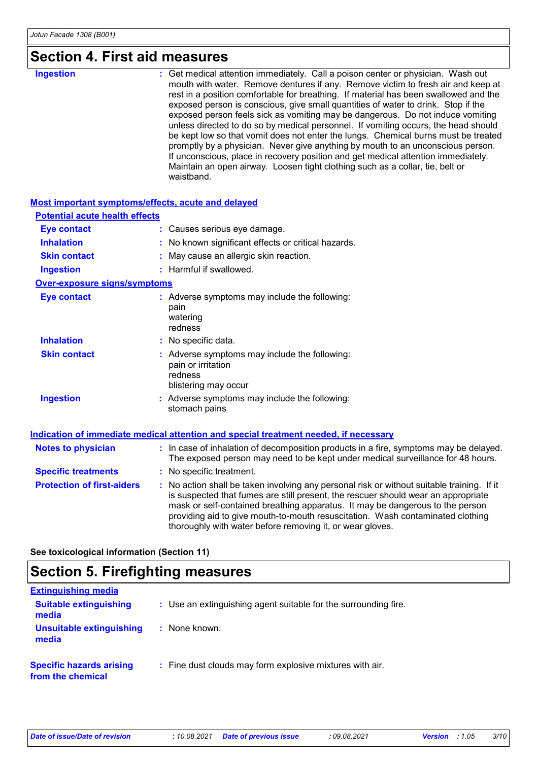# **Section 4. First aid measures**

| <b>Ingestion</b> | : Get medical attention immediately. Call a poison center or physician. Wash out<br>mouth with water. Remove dentures if any. Remove victim to fresh air and keep at<br>rest in a position comfortable for breathing. If material has been swallowed and the<br>exposed person is conscious, give small quantities of water to drink. Stop if the<br>exposed person feels sick as vomiting may be dangerous. Do not induce vomiting<br>unless directed to do so by medical personnel. If vomiting occurs, the head should<br>be kept low so that vomit does not enter the lungs. Chemical burns must be treated<br>promptly by a physician. Never give anything by mouth to an unconscious person.<br>If unconscious, place in recovery position and get medical attention immediately.<br>Maintain an open airway. Loosen tight clothing such as a collar, tie, belt or<br>waistband. |
|------------------|----------------------------------------------------------------------------------------------------------------------------------------------------------------------------------------------------------------------------------------------------------------------------------------------------------------------------------------------------------------------------------------------------------------------------------------------------------------------------------------------------------------------------------------------------------------------------------------------------------------------------------------------------------------------------------------------------------------------------------------------------------------------------------------------------------------------------------------------------------------------------------------|
|------------------|----------------------------------------------------------------------------------------------------------------------------------------------------------------------------------------------------------------------------------------------------------------------------------------------------------------------------------------------------------------------------------------------------------------------------------------------------------------------------------------------------------------------------------------------------------------------------------------------------------------------------------------------------------------------------------------------------------------------------------------------------------------------------------------------------------------------------------------------------------------------------------------|

#### **Most important symptoms/effects, acute and delayed**

| <b>Potential acute health effects</b> |                                                                                                                                                                                                                                                                                                                                                                                                                 |
|---------------------------------------|-----------------------------------------------------------------------------------------------------------------------------------------------------------------------------------------------------------------------------------------------------------------------------------------------------------------------------------------------------------------------------------------------------------------|
| <b>Eye contact</b>                    | : Causes serious eye damage.                                                                                                                                                                                                                                                                                                                                                                                    |
| <b>Inhalation</b>                     | : No known significant effects or critical hazards.                                                                                                                                                                                                                                                                                                                                                             |
| <b>Skin contact</b>                   | : May cause an allergic skin reaction.                                                                                                                                                                                                                                                                                                                                                                          |
| <b>Ingestion</b>                      | : Harmful if swallowed.                                                                                                                                                                                                                                                                                                                                                                                         |
| <b>Over-exposure signs/symptoms</b>   |                                                                                                                                                                                                                                                                                                                                                                                                                 |
| <b>Eye contact</b>                    | : Adverse symptoms may include the following:<br>pain<br>watering<br>redness                                                                                                                                                                                                                                                                                                                                    |
| <b>Inhalation</b>                     | : No specific data.                                                                                                                                                                                                                                                                                                                                                                                             |
| <b>Skin contact</b>                   | : Adverse symptoms may include the following:<br>pain or irritation<br>redness<br>blistering may occur                                                                                                                                                                                                                                                                                                          |
| <b>Ingestion</b>                      | Adverse symptoms may include the following:<br>stomach pains                                                                                                                                                                                                                                                                                                                                                    |
|                                       | Indication of immediate medical attention and special treatment needed, if necessary                                                                                                                                                                                                                                                                                                                            |
| <b>Notes to physician</b>             | : In case of inhalation of decomposition products in a fire, symptoms may be delayed.<br>The exposed person may need to be kept under medical surveillance for 48 hours.                                                                                                                                                                                                                                        |
| <b>Specific treatments</b>            | : No specific treatment.                                                                                                                                                                                                                                                                                                                                                                                        |
| <b>Protection of first-aiders</b>     | : No action shall be taken involving any personal risk or without suitable training. If it<br>is suspected that fumes are still present, the rescuer should wear an appropriate<br>mask or self-contained breathing apparatus. It may be dangerous to the person<br>providing aid to give mouth-to-mouth resuscitation. Wash contaminated clothing<br>thoroughly with water before removing it, or wear gloves. |

**See toxicological information (Section 11)**

# **Section 5. Firefighting measures**

| <b>Extinguishing media</b>                           |                                                                 |
|------------------------------------------------------|-----------------------------------------------------------------|
| <b>Suitable extinguishing</b><br>media               | : Use an extinguishing agent suitable for the surrounding fire. |
| Unsuitable extinguishing<br>media                    | : None known.                                                   |
| <b>Specific hazards arising</b><br>from the chemical | : Fine dust clouds may form explosive mixtures with air.        |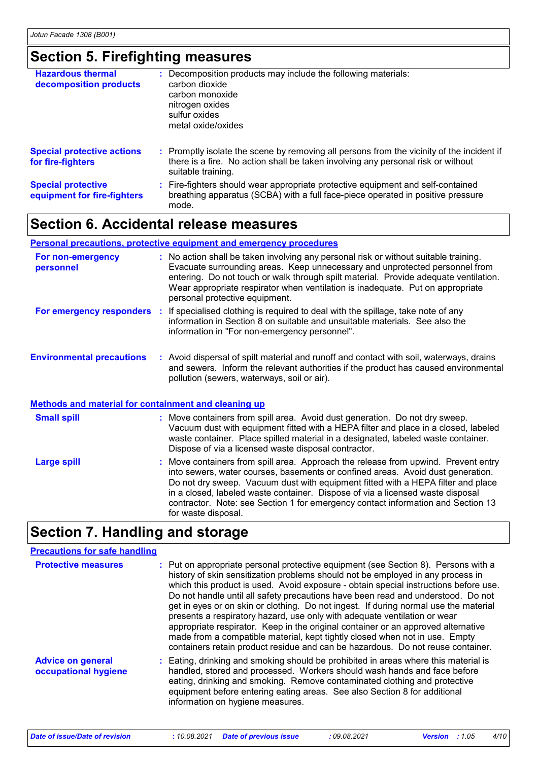# **Section 5. Firefighting measures**

| <b>Hazardous thermal</b><br>decomposition products       | : Decomposition products may include the following materials:<br>carbon dioxide<br>carbon monoxide<br>nitrogen oxides<br>sulfur oxides<br>metal oxide/oxides                                        |
|----------------------------------------------------------|-----------------------------------------------------------------------------------------------------------------------------------------------------------------------------------------------------|
| <b>Special protective actions</b><br>for fire-fighters   | : Promptly isolate the scene by removing all persons from the vicinity of the incident if<br>there is a fire. No action shall be taken involving any personal risk or without<br>suitable training. |
| <b>Special protective</b><br>equipment for fire-fighters | : Fire-fighters should wear appropriate protective equipment and self-contained<br>breathing apparatus (SCBA) with a full face-piece operated in positive pressure<br>mode.                         |

### **Section 6. Accidental release measures**

#### **Personal precautions, protective equipment and emergency procedures**

| For non-emergency<br>personnel                              | : No action shall be taken involving any personal risk or without suitable training.<br>Evacuate surrounding areas. Keep unnecessary and unprotected personnel from<br>entering. Do not touch or walk through spilt material. Provide adequate ventilation.<br>Wear appropriate respirator when ventilation is inadequate. Put on appropriate<br>personal protective equipment.                                                                        |
|-------------------------------------------------------------|--------------------------------------------------------------------------------------------------------------------------------------------------------------------------------------------------------------------------------------------------------------------------------------------------------------------------------------------------------------------------------------------------------------------------------------------------------|
|                                                             | <b>For emergency responders</b> : If specialised clothing is required to deal with the spillage, take note of any<br>information in Section 8 on suitable and unsuitable materials. See also the<br>information in "For non-emergency personnel".                                                                                                                                                                                                      |
| <b>Environmental precautions</b>                            | : Avoid dispersal of spilt material and runoff and contact with soil, waterways, drains<br>and sewers. Inform the relevant authorities if the product has caused environmental<br>pollution (sewers, waterways, soil or air).                                                                                                                                                                                                                          |
| <b>Methods and material for containment and cleaning up</b> |                                                                                                                                                                                                                                                                                                                                                                                                                                                        |
| <b>Small spill</b>                                          | : Move containers from spill area. Avoid dust generation. Do not dry sweep.<br>Vacuum dust with equipment fitted with a HEPA filter and place in a closed, labeled<br>waste container. Place spilled material in a designated, labeled waste container.<br>Dispose of via a licensed waste disposal contractor.                                                                                                                                        |
| <b>Large spill</b>                                          | : Move containers from spill area. Approach the release from upwind. Prevent entry<br>into sewers, water courses, basements or confined areas. Avoid dust generation.<br>Do not dry sweep. Vacuum dust with equipment fitted with a HEPA filter and place<br>in a closed, labeled waste container. Dispose of via a licensed waste disposal<br>contractor. Note: see Section 1 for emergency contact information and Section 13<br>for waste disposal. |

### **Section 7. Handling and storage**

#### **Precautions for safe handling**

| <b>Protective measures</b>                       | : Put on appropriate personal protective equipment (see Section 8). Persons with a<br>history of skin sensitization problems should not be employed in any process in<br>which this product is used. Avoid exposure - obtain special instructions before use.<br>Do not handle until all safety precautions have been read and understood. Do not<br>get in eyes or on skin or clothing. Do not ingest. If during normal use the material<br>presents a respiratory hazard, use only with adequate ventilation or wear<br>appropriate respirator. Keep in the original container or an approved alternative<br>made from a compatible material, kept tightly closed when not in use. Empty<br>containers retain product residue and can be hazardous. Do not reuse container. |
|--------------------------------------------------|-------------------------------------------------------------------------------------------------------------------------------------------------------------------------------------------------------------------------------------------------------------------------------------------------------------------------------------------------------------------------------------------------------------------------------------------------------------------------------------------------------------------------------------------------------------------------------------------------------------------------------------------------------------------------------------------------------------------------------------------------------------------------------|
| <b>Advice on general</b><br>occupational hygiene | : Eating, drinking and smoking should be prohibited in areas where this material is<br>handled, stored and processed. Workers should wash hands and face before<br>eating, drinking and smoking. Remove contaminated clothing and protective<br>equipment before entering eating areas. See also Section 8 for additional<br>information on hygiene measures.                                                                                                                                                                                                                                                                                                                                                                                                                 |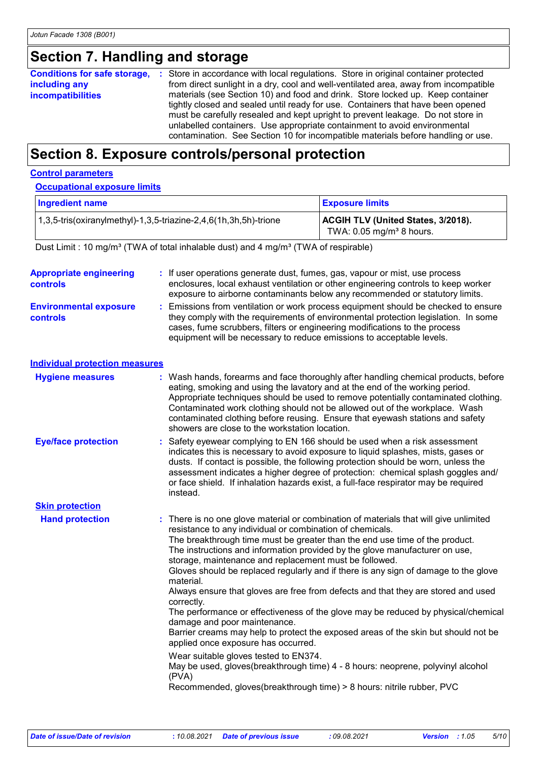# **Section 7. Handling and storage**

|                          | <b>Conditions for safe storage, :</b> Store in accordance with local regulations. Store in original container protected |
|--------------------------|-------------------------------------------------------------------------------------------------------------------------|
| including any            | from direct sunlight in a dry, cool and well-ventilated area, away from incompatible                                    |
| <b>incompatibilities</b> | materials (see Section 10) and food and drink. Store locked up. Keep container                                          |
|                          | tightly closed and sealed until ready for use. Containers that have been opened                                         |
|                          | must be carefully resealed and kept upright to prevent leakage. Do not store in                                         |
|                          | unlabelled containers. Use appropriate containment to avoid environmental                                               |
|                          | contamination. See Section 10 for incompatible materials before handling or use.                                        |

### **Section 8. Exposure controls/personal protection**

#### **Control parameters**

#### **Occupational exposure limits**

| <b>Ingredient name</b>                                           | <b>Exposure limits</b>                                                              |
|------------------------------------------------------------------|-------------------------------------------------------------------------------------|
| 1,3,5-tris(oxiranylmethyl)-1,3,5-triazine-2,4,6(1h,3h,5h)-trione | <b>ACGIH TLV (United States, 3/2018).</b><br>TWA: $0.05$ mg/m <sup>3</sup> 8 hours. |

Dust Limit : 10 mg/m<sup>3</sup> (TWA of total inhalable dust) and 4 mg/m<sup>3</sup> (TWA of respirable)

| <b>Appropriate engineering</b><br>controls       | : If user operations generate dust, fumes, gas, vapour or mist, use process<br>enclosures, local exhaust ventilation or other engineering controls to keep worker<br>exposure to airborne contaminants below any recommended or statutory limits.                                                                                                                                                                                                                                                                                                                                                                                                                                                                                                                                                                                                                                                                                                                                                                                                 |
|--------------------------------------------------|---------------------------------------------------------------------------------------------------------------------------------------------------------------------------------------------------------------------------------------------------------------------------------------------------------------------------------------------------------------------------------------------------------------------------------------------------------------------------------------------------------------------------------------------------------------------------------------------------------------------------------------------------------------------------------------------------------------------------------------------------------------------------------------------------------------------------------------------------------------------------------------------------------------------------------------------------------------------------------------------------------------------------------------------------|
| <b>Environmental exposure</b><br><b>controls</b> | : Emissions from ventilation or work process equipment should be checked to ensure<br>they comply with the requirements of environmental protection legislation. In some<br>cases, fume scrubbers, filters or engineering modifications to the process<br>equipment will be necessary to reduce emissions to acceptable levels.                                                                                                                                                                                                                                                                                                                                                                                                                                                                                                                                                                                                                                                                                                                   |
| <b>Individual protection measures</b>            |                                                                                                                                                                                                                                                                                                                                                                                                                                                                                                                                                                                                                                                                                                                                                                                                                                                                                                                                                                                                                                                   |
| <b>Hygiene measures</b>                          | : Wash hands, forearms and face thoroughly after handling chemical products, before<br>eating, smoking and using the lavatory and at the end of the working period.<br>Appropriate techniques should be used to remove potentially contaminated clothing.<br>Contaminated work clothing should not be allowed out of the workplace. Wash<br>contaminated clothing before reusing. Ensure that eyewash stations and safety<br>showers are close to the workstation location.                                                                                                                                                                                                                                                                                                                                                                                                                                                                                                                                                                       |
| <b>Eye/face protection</b>                       | : Safety eyewear complying to EN 166 should be used when a risk assessment<br>indicates this is necessary to avoid exposure to liquid splashes, mists, gases or<br>dusts. If contact is possible, the following protection should be worn, unless the<br>assessment indicates a higher degree of protection: chemical splash goggles and/<br>or face shield. If inhalation hazards exist, a full-face respirator may be required<br>instead.                                                                                                                                                                                                                                                                                                                                                                                                                                                                                                                                                                                                      |
| <b>Skin protection</b>                           |                                                                                                                                                                                                                                                                                                                                                                                                                                                                                                                                                                                                                                                                                                                                                                                                                                                                                                                                                                                                                                                   |
| <b>Hand protection</b>                           | : There is no one glove material or combination of materials that will give unlimited<br>resistance to any individual or combination of chemicals.<br>The breakthrough time must be greater than the end use time of the product.<br>The instructions and information provided by the glove manufacturer on use,<br>storage, maintenance and replacement must be followed.<br>Gloves should be replaced regularly and if there is any sign of damage to the glove<br>material.<br>Always ensure that gloves are free from defects and that they are stored and used<br>correctly.<br>The performance or effectiveness of the glove may be reduced by physical/chemical<br>damage and poor maintenance.<br>Barrier creams may help to protect the exposed areas of the skin but should not be<br>applied once exposure has occurred.<br>Wear suitable gloves tested to EN374.<br>May be used, gloves(breakthrough time) 4 - 8 hours: neoprene, polyvinyl alcohol<br>(PVA)<br>Recommended, gloves(breakthrough time) > 8 hours: nitrile rubber, PVC |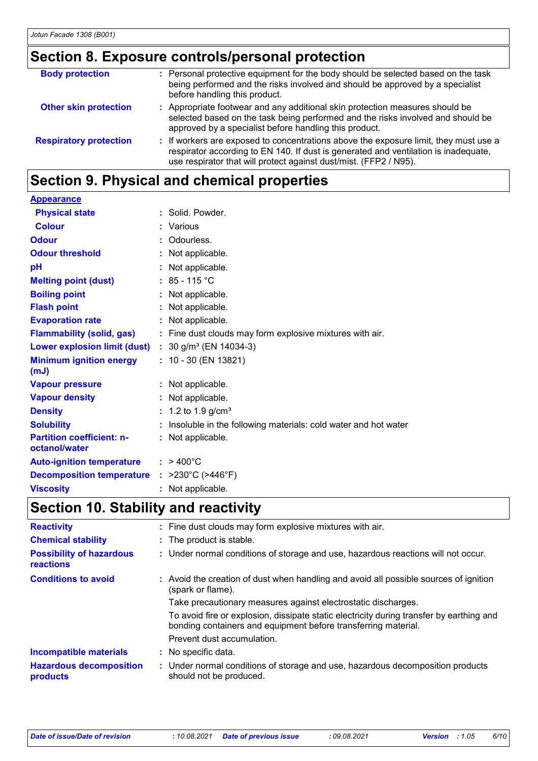# **Section 8. Exposure controls/personal protection**

| <b>Body protection</b>        | : Personal protective equipment for the body should be selected based on the task<br>being performed and the risks involved and should be approved by a specialist<br>before handling this product.                                              |
|-------------------------------|--------------------------------------------------------------------------------------------------------------------------------------------------------------------------------------------------------------------------------------------------|
| <b>Other skin protection</b>  | : Appropriate footwear and any additional skin protection measures should be<br>selected based on the task being performed and the risks involved and should be<br>approved by a specialist before handling this product.                        |
| <b>Respiratory protection</b> | : If workers are exposed to concentrations above the exposure limit, they must use a<br>respirator according to EN 140. If dust is generated and ventilation is inadequate,<br>use respirator that will protect against dust/mist. (FFP2 / N95). |

# **Section 9. Physical and chemical properties**

| <b>Appearance</b>                                 |    |                                                                |
|---------------------------------------------------|----|----------------------------------------------------------------|
| <b>Physical state</b>                             |    | : Solid. Powder.                                               |
| <b>Colour</b>                                     |    | : Various                                                      |
| <b>Odour</b>                                      | ÷. | Odourless.                                                     |
| <b>Odour threshold</b>                            |    | : Not applicable.                                              |
| pH                                                |    | Not applicable.                                                |
| <b>Melting point (dust)</b>                       |    | : $85 - 115$ °C                                                |
| <b>Boiling point</b>                              |    | : Not applicable.                                              |
| <b>Flash point</b>                                |    | Not applicable.                                                |
| <b>Evaporation rate</b>                           |    | Not applicable.                                                |
| <b>Flammability (solid, gas)</b>                  |    | : Fine dust clouds may form explosive mixtures with air.       |
| <b>Lower explosion limit (dust)</b>               |    | : $30$ g/m <sup>3</sup> (EN 14034-3)                           |
| <b>Minimum ignition energy</b><br>(mJ)            |    | $: 10 - 30$ (EN 13821)                                         |
| <b>Vapour pressure</b>                            |    | : Not applicable.                                              |
| <b>Vapour density</b>                             |    | : Not applicable.                                              |
| <b>Density</b>                                    |    | : 1.2 to 1.9 g/cm <sup>3</sup>                                 |
| <b>Solubility</b>                                 |    | Insoluble in the following materials: cold water and hot water |
| <b>Partition coefficient: n-</b><br>octanol/water |    | : Not applicable.                                              |
| <b>Auto-ignition temperature</b>                  |    | $: 9400^{\circ}$ C                                             |
| <b>Decomposition temperature</b>                  |    | : $>230^{\circ}$ C ( $>446^{\circ}$ F)                         |
| <b>Viscosity</b>                                  |    | : Not applicable.                                              |

# **Section 10. Stability and reactivity**

| <b>Reactivity</b>                                   | : Fine dust clouds may form explosive mixtures with air.                                                                                                   |
|-----------------------------------------------------|------------------------------------------------------------------------------------------------------------------------------------------------------------|
| <b>Chemical stability</b>                           | : The product is stable.                                                                                                                                   |
| <b>Possibility of hazardous</b><br><b>reactions</b> | : Under normal conditions of storage and use, hazardous reactions will not occur.                                                                          |
| <b>Conditions to avoid</b>                          | : Avoid the creation of dust when handling and avoid all possible sources of ignition<br>(spark or flame).                                                 |
|                                                     | Take precautionary measures against electrostatic discharges.                                                                                              |
|                                                     | To avoid fire or explosion, dissipate static electricity during transfer by earthing and<br>bonding containers and equipment before transferring material. |
|                                                     | Prevent dust accumulation.                                                                                                                                 |
| <b>Incompatible materials</b>                       | : No specific data.                                                                                                                                        |
| <b>Hazardous decomposition</b><br>products          | : Under normal conditions of storage and use, hazardous decomposition products<br>should not be produced.                                                  |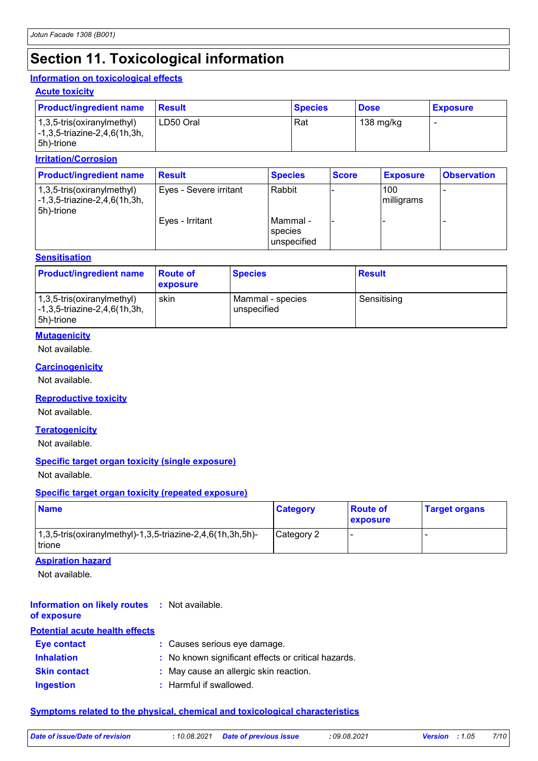## **Section 11. Toxicological information**

#### **Information on toxicological effects**

#### **Acute toxicity**

| <b>Product/ingredient name</b>                                                                                       | <b>Result</b> | <b>Species</b> | <b>Dose</b> | <b>Exposure</b> |
|----------------------------------------------------------------------------------------------------------------------|---------------|----------------|-------------|-----------------|
| $(1,3,5\text{-tris}(\text{oxirany}(\text{method})))$<br>$\left[-1, 3, 5\right]$ -triazine-2,4,6(1h,3h,<br>5h)-trione | LD50 Oral     | Rat            | 138 mg/kg   |                 |

#### **Irritation/Corrosion**

| <b>Product/ingredient name</b>                                                                            | <b>Result</b>          | <b>Species</b>                        | <b>Score</b> | <b>Exposure</b>   | <b>Observation</b> |
|-----------------------------------------------------------------------------------------------------------|------------------------|---------------------------------------|--------------|-------------------|--------------------|
| $(1,3,5\text{-tris}(oxiranylmethyl))$<br>$\left[-1, 3, 5\right]$ -triazine-2,4,6(1h,3h,<br>$ 5h)$ -trione | Eyes - Severe irritant | Rabbit                                |              | 100<br>milligrams |                    |
|                                                                                                           | Eves - Irritant        | IMammal -<br>species<br>l unspecified |              |                   |                    |

#### **Sensitisation**

| <b>Product/ingredient name</b>                                                                          | ∣Route of<br><b>exposure</b> | <b>Species</b>                  | <b>Result</b> |
|---------------------------------------------------------------------------------------------------------|------------------------------|---------------------------------|---------------|
| 1,3,5-tris(oxiranylmethyl)<br>$\left[ -1, 3, 5\text{-}triazine-2, 4, 6(1h, 3h, \right]$<br>l 5h)-trione | skin                         | Mammal - species<br>unspecified | Sensitising   |

#### **Mutagenicity**

Not available.

#### **Carcinogenicity**

Not available.

#### **Reproductive toxicity**

Not available.

#### **Teratogenicity**

Not available.

#### **Specific target organ toxicity (single exposure)**

Not available.

#### **Specific target organ toxicity (repeated exposure)**

| <b>Name</b>                                                               | <b>Category</b> | <b>Route of</b><br>exposure | <b>Target organs</b> |
|---------------------------------------------------------------------------|-----------------|-----------------------------|----------------------|
| $1,3,5$ -tris(oxiranylmethyl)-1,3,5-triazine-2,4,6(1h,3h,5h)-<br>l trione | Category 2      |                             |                      |

#### **Aspiration hazard**

Not available.

#### **Information on likely routes :** Not available. **of exposure**

### **Potential acute health effects**

| Eye contact         | : Causes serious eye damage.                        |
|---------------------|-----------------------------------------------------|
| <b>Inhalation</b>   | : No known significant effects or critical hazards. |
| <b>Skin contact</b> | : May cause an allergic skin reaction.              |
| <b>Ingestion</b>    | : Harmful if swallowed.                             |

#### **Symptoms related to the physical, chemical and toxicological characteristics**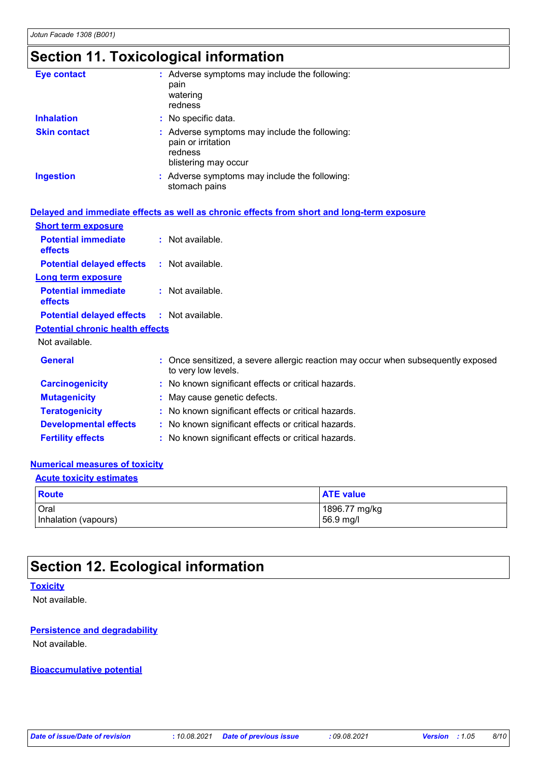# **Section 11. Toxicological information**

| <b>Eye contact</b>  | : Adverse symptoms may include the following:<br>pain<br>watering<br>redness                           |
|---------------------|--------------------------------------------------------------------------------------------------------|
| <b>Inhalation</b>   | : No specific data.                                                                                    |
| <b>Skin contact</b> | : Adverse symptoms may include the following:<br>pain or irritation<br>redness<br>blistering may occur |
| <b>Ingestion</b>    | : Adverse symptoms may include the following:<br>stomach pains                                         |

|                                                   | Delayed and immediate effects as well as chronic effects from short and long-term exposure               |
|---------------------------------------------------|----------------------------------------------------------------------------------------------------------|
| <b>Short term exposure</b>                        |                                                                                                          |
| <b>Potential immediate</b><br>effects             | : Not available.                                                                                         |
| <b>Potential delayed effects : Not available.</b> |                                                                                                          |
| <b>Long term exposure</b>                         |                                                                                                          |
| <b>Potential immediate</b><br><b>effects</b>      | $:$ Not available.                                                                                       |
| <b>Potential delayed effects : Not available.</b> |                                                                                                          |
| <b>Potential chronic health effects</b>           |                                                                                                          |
| Not available.                                    |                                                                                                          |
| <b>General</b>                                    | : Once sensitized, a severe allergic reaction may occur when subsequently exposed<br>to very low levels. |
| <b>Carcinogenicity</b>                            | : No known significant effects or critical hazards.                                                      |
| <b>Mutagenicity</b>                               | : May cause genetic defects.                                                                             |
| <b>Teratogenicity</b>                             | : No known significant effects or critical hazards.                                                      |
| <b>Developmental effects</b>                      | : No known significant effects or critical hazards.                                                      |
| <b>Fertility effects</b>                          | : No known significant effects or critical hazards.                                                      |

#### **Numerical measures of toxicity**

#### **Acute toxicity estimates**

| Route                | <b>ATE value</b> |
|----------------------|------------------|
| Oral                 | 1896.77 mg/kg    |
| Inhalation (vapours) | 56.9 mg/l        |

### **Section 12. Ecological information**

#### **Toxicity**

Not available.

#### **Persistence and degradability**

Not available.

#### **Bioaccumulative potential**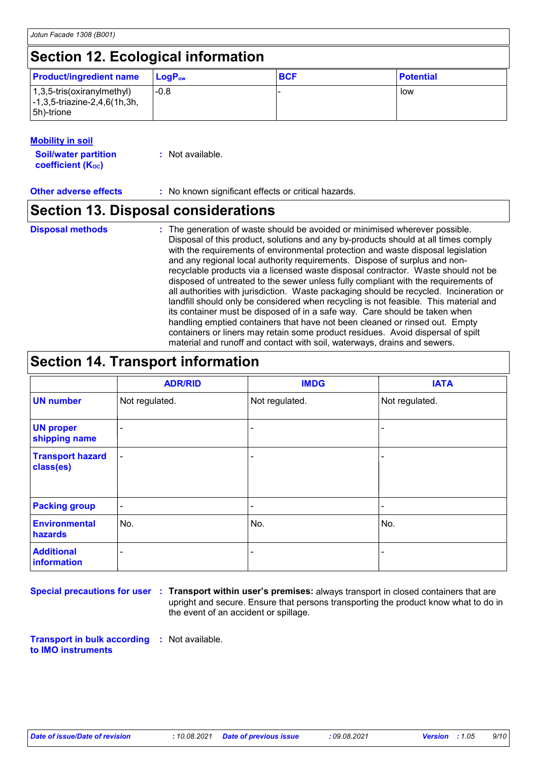### **Section 12. Ecological information**

| <b>Product/ingredient name</b>                                                                                      | $\mathsf{LoaP}_\mathsf{ow}$ | <b>BCF</b> | <b>Potential</b> |
|---------------------------------------------------------------------------------------------------------------------|-----------------------------|------------|------------------|
| $(1,3,5\text{-tris}(\text{oxirany}(\text{methyl}))$<br>$\left[-1, 3, 5\right]$ -triazine-2,4,6(1h,3h,<br>5h)-trione | $-0.8$                      |            | low              |

#### **Mobility in soil**

| <b>Soil/water partition</b> | : Not available. |
|-----------------------------|------------------|
| <b>coefficient (Koc)</b>    |                  |

**Other adverse effects** : No known significant effects or critical hazards.

### **Section 13. Disposal considerations**

**Disposal methods :**

The generation of waste should be avoided or minimised wherever possible. Disposal of this product, solutions and any by-products should at all times comply with the requirements of environmental protection and waste disposal legislation and any regional local authority requirements. Dispose of surplus and nonrecyclable products via a licensed waste disposal contractor. Waste should not be disposed of untreated to the sewer unless fully compliant with the requirements of all authorities with jurisdiction. Waste packaging should be recycled. Incineration or landfill should only be considered when recycling is not feasible. This material and its container must be disposed of in a safe way. Care should be taken when handling emptied containers that have not been cleaned or rinsed out. Empty containers or liners may retain some product residues. Avoid dispersal of spilt material and runoff and contact with soil, waterways, drains and sewers.

## **Section 14. Transport information**

|                                      | <b>ADR/RID</b>           | <b>IMDG</b>              | <b>IATA</b>              |
|--------------------------------------|--------------------------|--------------------------|--------------------------|
| <b>UN number</b>                     | Not regulated.           | Not regulated.           | Not regulated.           |
| <b>UN proper</b><br>shipping name    | $\overline{\phantom{a}}$ | $\overline{\phantom{a}}$ |                          |
| <b>Transport hazard</b><br>class(es) | $\blacksquare$           | ٠                        |                          |
| <b>Packing group</b>                 | $\blacksquare$           | $\blacksquare$           | $\overline{\phantom{0}}$ |
| <b>Environmental</b><br>hazards      | No.                      | No.                      | No.                      |
| <b>Additional</b><br>information     | ۰                        | $\overline{\phantom{a}}$ | $\overline{\phantom{0}}$ |

**Special precautions for user Transport within user's premises:** always transport in closed containers that are **:** upright and secure. Ensure that persons transporting the product know what to do in the event of an accident or spillage.

**Transport in bulk according :** Not available. **to IMO instruments**